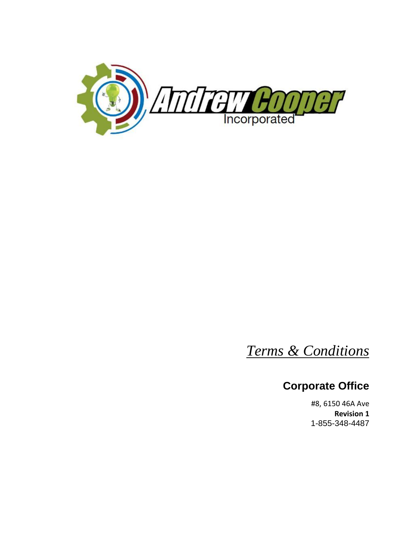

# *Terms & Conditions*

# **Corporate Office**

#8, 6150 46A Ave **Revision 1** 1-855-348-4487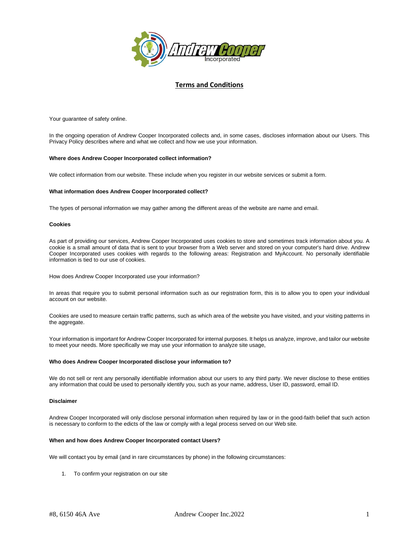

## **Terms and Conditions**

Your guarantee of safety online.

In the ongoing operation of Andrew Cooper Incorporated collects and, in some cases, discloses information about our Users. This Privacy Policy describes where and what we collect and how we use your information.

#### **Where does Andrew Cooper Incorporated collect information?**

We collect information from our website. These include when you register in our website services or submit a form.

#### **What information does Andrew Cooper Incorporated collect?**

The types of personal information we may gather among the different areas of the website are name and email.

#### **Cookies**

As part of providing our services, Andrew Cooper Incorporated uses cookies to store and sometimes track information about you. A cookie is a small amount of data that is sent to your browser from a Web server and stored on your computer's hard drive. Andrew Cooper Incorporated uses cookies with regards to the following areas: Registration and MyAccount. No personally identifiable information is tied to our use of cookies.

How does Andrew Cooper Incorporated use your information?

In areas that require you to submit personal information such as our registration form, this is to allow you to open your individual account on our website.

Cookies are used to measure certain traffic patterns, such as which area of the website you have visited, and your visiting patterns in the aggregate.

Your information is important for Andrew Cooper Incorporated for internal purposes. It helps us analyze, improve, and tailor our website to meet your needs. More specifically we may use your information to analyze site usage,

#### **Who does Andrew Cooper Incorporated disclose your information to?**

We do not sell or rent any personally identifiable information about our users to any third party. We never disclose to these entities any information that could be used to personally identify you, such as your name, address, User ID, password, email ID.

#### **Disclaimer**

Andrew Cooper Incorporated will only disclose personal information when required by law or in the good-faith belief that such action is necessary to conform to the edicts of the law or comply with a legal process served on our Web site.

#### **When and how does Andrew Cooper Incorporated contact Users?**

We will contact you by email (and in rare circumstances by phone) in the following circumstances:

1. To confirm your registration on our site